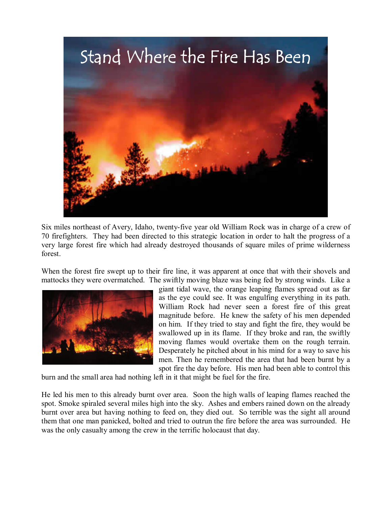

Six miles northeast of Avery, Idaho, twenty-five year old William Rock was in charge of a crew of 70 firefighters. They had been directed to this strategic location in order to halt the progress of a very large forest fire which had already destroyed thousands of square miles of prime wilderness forest.

When the forest fire swept up to their fire line, it was apparent at once that with their shovels and mattocks they were overmatched. The swiftly moving blaze was being fed by strong winds. Like a



giant tidal wave, the orange leaping flames spread out as far as the eye could see. It was engulfing everything in its path. William Rock had never seen a forest fire of this great magnitude before. He knew the safety of his men depended on him. If they tried to stay and fight the fire, they would be swallowed up in its flame. If they broke and ran, the swiftly moving flames would overtake them on the rough terrain. Desperately he pitched about in his mind for a way to save his men. Then he remembered the area that had been burnt by a spot fire the day before. His men had been able to control this

burn and the small area had nothing left in it that might be fuel for the fire.

He led his men to this already burnt over area. Soon the high walls of leaping flames reached the spot. Smoke spiraled several miles high into the sky. Ashes and embers rained down on the already burnt over area but having nothing to feed on, they died out. So terrible was the sight all around them that one man panicked, bolted and tried to outrun the fire before the area was surrounded. He was the only casualty among the crew in the terrific holocaust that day.